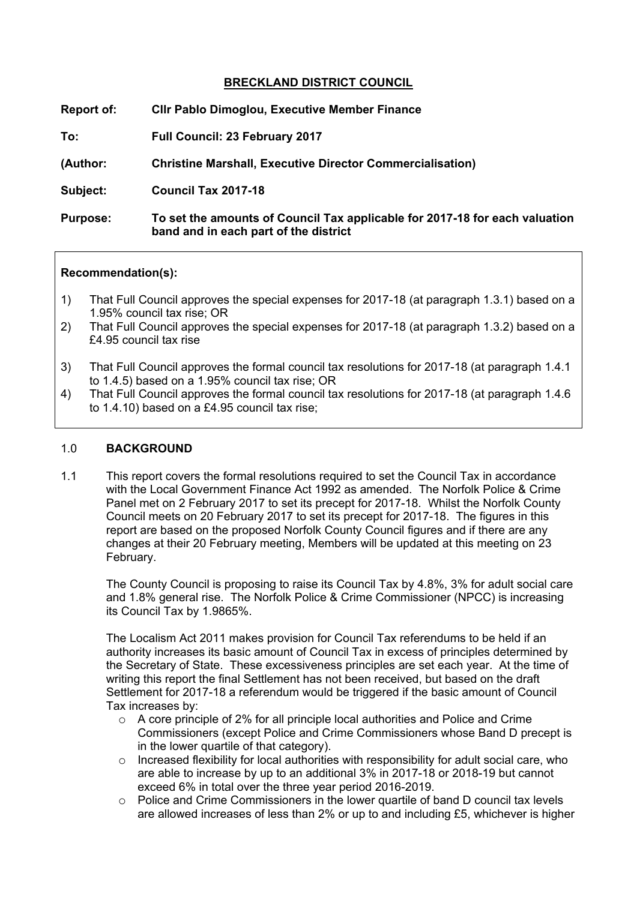# **BRECKLAND DISTRICT COUNCIL**

| Report of:      | <b>CIIr Pablo Dimoglou, Executive Member Finance</b>                                                                 |
|-----------------|----------------------------------------------------------------------------------------------------------------------|
| To:             | <b>Full Council: 23 February 2017</b>                                                                                |
| (Author:        | <b>Christine Marshall, Executive Director Commercialisation)</b>                                                     |
| Subject:        | Council Tax 2017-18                                                                                                  |
| <b>Purpose:</b> | To set the amounts of Council Tax applicable for 2017-18 for each valuation<br>band and in each part of the district |

#### **Recommendation(s):**

- 1) That Full Council approves the special expenses for 2017-18 (at paragraph 1.3.1) based on a 1.95% council tax rise; OR
- 2) That Full Council approves the special expenses for 2017-18 (at paragraph 1.3.2) based on a £4.95 council tax rise
- 3) That Full Council approves the formal council tax resolutions for 2017-18 (at paragraph 1.4.1 to 1.4.5) based on a 1.95% council tax rise; OR
- 4) That Full Council approves the formal council tax resolutions for 2017-18 (at paragraph 1.4.6 to 1.4.10) based on a £4.95 council tax rise;

### 1.0 **BACKGROUND**

1.1 This report covers the formal resolutions required to set the Council Tax in accordance with the Local Government Finance Act 1992 as amended. The Norfolk Police & Crime Panel met on 2 February 2017 to set its precept for 2017-18. Whilst the Norfolk County Council meets on 20 February 2017 to set its precept for 2017-18. The figures in this report are based on the proposed Norfolk County Council figures and if there are any changes at their 20 February meeting, Members will be updated at this meeting on 23 February.

The County Council is proposing to raise its Council Tax by 4.8%, 3% for adult social care and 1.8% general rise. The Norfolk Police & Crime Commissioner (NPCC) is increasing its Council Tax by 1.9865%.

The Localism Act 2011 makes provision for Council Tax referendums to be held if an authority increases its basic amount of Council Tax in excess of principles determined by the Secretary of State. These excessiveness principles are set each year. At the time of writing this report the final Settlement has not been received, but based on the draft Settlement for 2017-18 a referendum would be triggered if the basic amount of Council Tax increases by:

- $\circ$  A core principle of 2% for all principle local authorities and Police and Crime Commissioners (except Police and Crime Commissioners whose Band D precept is in the lower quartile of that category).
- o Increased flexibility for local authorities with responsibility for adult social care, who are able to increase by up to an additional 3% in 2017-18 or 2018-19 but cannot exceed 6% in total over the three year period 2016-2019.
- o Police and Crime Commissioners in the lower quartile of band D council tax levels are allowed increases of less than 2% or up to and including £5, whichever is higher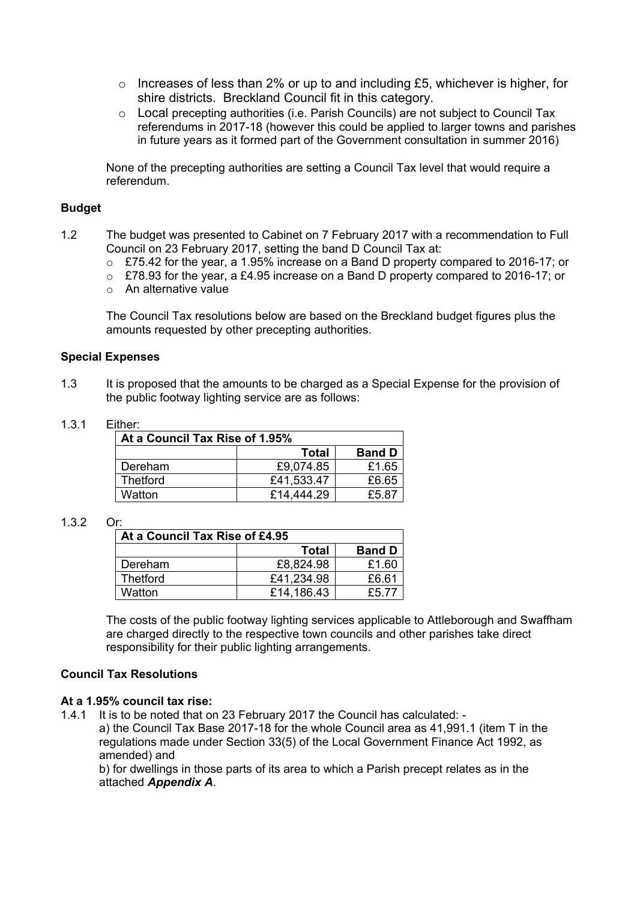- $\circ$  Increases of less than 2% or up to and including £5, whichever is higher, for shire districts. Breckland Council fit in this category.
- o Local precepting authorities (i.e. Parish Councils) are not subject to Council Tax referendums in 2017-18 (however this could be applied to larger towns and parishes in future years as it formed part of the Government consultation in summer 2016)

None of the precepting authorities are setting a Council Tax level that would require a referendum.

#### **Budget**

- 1.2 The budget was presented to Cabinet on 7 February 2017 with a recommendation to Full Council on 23 February 2017, setting the band D Council Tax at:
	- o £75.42 for the year, a 1.95% increase on a Band D property compared to 2016-17; or
	- o £78.93 for the year, a £4.95 increase on a Band D property compared to 2016-17; or
	- $\circ$  An alternative value

The Council Tax resolutions below are based on the Breckland budget figures plus the amounts requested by other precepting authorities.

#### **Special Expenses**

1.3 It is proposed that the amounts to be charged as a Special Expense for the provision of the public footway lighting service are as follows:

#### 1.3.1 Either:

| At a Council Tax Rise of 1.95% |              |               |  |  |
|--------------------------------|--------------|---------------|--|--|
|                                | <b>Total</b> | <b>Band D</b> |  |  |
| Dereham                        | £9,074.85    | £1.65         |  |  |
| <b>Thetford</b>                | £41,533.47   | £6.65         |  |  |
| Watton                         | £14,444.29   | £5.87         |  |  |

#### 1.3.2 Or:

| At a Council Tax Rise of £4.95 |              |               |  |  |
|--------------------------------|--------------|---------------|--|--|
|                                | <b>Total</b> | <b>Band D</b> |  |  |
| Dereham                        | £8,824.98    | £1.60         |  |  |
| <b>Thetford</b>                | £41,234.98   | £6.61         |  |  |
| Watton                         | £14,186.43   | £5 77         |  |  |

The costs of the public footway lighting services applicable to Attleborough and Swaffham are charged directly to the respective town councils and other parishes take direct responsibility for their public lighting arrangements.

## **Council Tax Resolutions**

### **At a 1.95% council tax rise:**

1.4.1 It is to be noted that on 23 February 2017 the Council has calculated: -

a) the Council Tax Base 2017-18 for the whole Council area as 41,991.1 (item T in the regulations made under Section 33(5) of the Local Government Finance Act 1992, as amended) and

b) for dwellings in those parts of its area to which a Parish precept relates as in the attached *Appendix A*.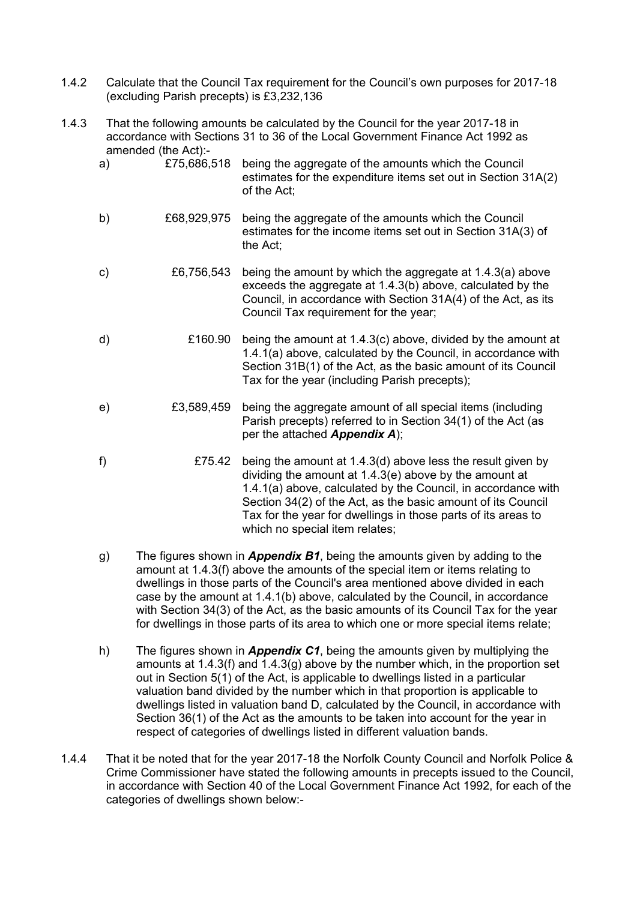- 1.4.2 Calculate that the Council Tax requirement for the Council's own purposes for 2017-18 (excluding Parish precepts) is £3,232,136
- 1.4.3 That the following amounts be calculated by the Council for the year 2017-18 in accordance with Sections 31 to 36 of the Local Government Finance Act 1992 as amended (the Act):-

| a) |             | £75,686,518 being the aggregate of the amounts which the Council<br>estimates for the expenditure items set out in Section 31A(2)<br>of the Act;                                                                                                |
|----|-------------|-------------------------------------------------------------------------------------------------------------------------------------------------------------------------------------------------------------------------------------------------|
| b) | £68,929,975 | being the aggregate of the amounts which the Council<br>estimates for the income items set out in Section 31A(3) of<br>the Act;                                                                                                                 |
| C) | £6,756,543  | being the amount by which the aggregate at 1.4.3(a) above<br>exceeds the aggregate at 1.4.3(b) above, calculated by the<br>Council, in accordance with Section 31A(4) of the Act, as its<br>Council Tax requirement for the year;               |
| d) | £160.90     | being the amount at 1.4.3(c) above, divided by the amount at<br>1.4.1(a) above, calculated by the Council, in accordance with<br>Section 31B(1) of the Act, as the basic amount of its Council<br>Tax for the year (including Parish precepts); |
| e) | £3,589,459  | being the aggregate amount of all special items (including<br>Parish precepts) referred to in Section 34(1) of the Act (as<br>per the attached <b>Appendix A</b> );                                                                             |
| f) | £75.42      | being the amount at 1.4.3(d) above less the result given by                                                                                                                                                                                     |

f) £75.42 being the amount at 1.4.3(d) above less the result given by dividing the amount at 1.4.3(e) above by the amount at 1.4.1(a) above, calculated by the Council, in accordance with Section 34(2) of the Act, as the basic amount of its Council Tax for the year for dwellings in those parts of its areas to which no special item relates;

- g) The figures shown in *Appendix B1*, being the amounts given by adding to the amount at 1.4.3(f) above the amounts of the special item or items relating to dwellings in those parts of the Council's area mentioned above divided in each case by the amount at 1.4.1(b) above, calculated by the Council, in accordance with Section 34(3) of the Act, as the basic amounts of its Council Tax for the year for dwellings in those parts of its area to which one or more special items relate;
- h) The figures shown in *Appendix C1*, being the amounts given by multiplying the amounts at 1.4.3(f) and 1.4.3(g) above by the number which, in the proportion set out in Section 5(1) of the Act, is applicable to dwellings listed in a particular valuation band divided by the number which in that proportion is applicable to dwellings listed in valuation band D, calculated by the Council, in accordance with Section 36(1) of the Act as the amounts to be taken into account for the year in respect of categories of dwellings listed in different valuation bands.
- 1.4.4 That it be noted that for the year 2017-18 the Norfolk County Council and Norfolk Police & Crime Commissioner have stated the following amounts in precepts issued to the Council, in accordance with Section 40 of the Local Government Finance Act 1992, for each of the categories of dwellings shown below:-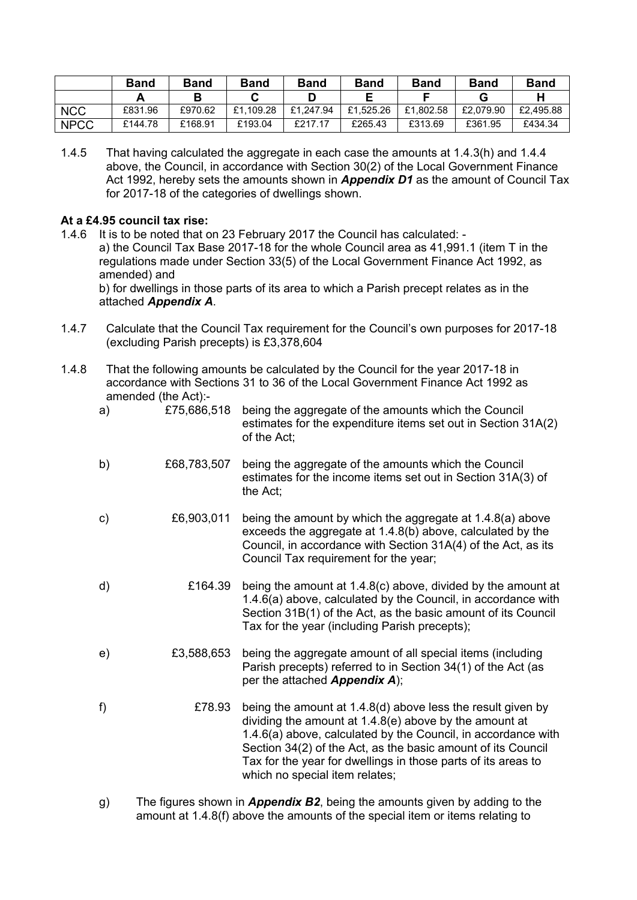|             | <b>Band</b> | <b>Band</b> | <b>Band</b> | <b>Band</b> | <b>Band</b> | <b>Band</b> | <b>Band</b> | <b>Band</b> |
|-------------|-------------|-------------|-------------|-------------|-------------|-------------|-------------|-------------|
|             |             | D           |             |             |             |             |             |             |
| <b>NCC</b>  | £831.96     | £970.62     | £1.109.28   | £1.247.94   | £1.525.26   | £1.802.58   | £2.079.90   | £2.495.88   |
| <b>NPCC</b> | £144.78     | £168.91     | £193.04     | £217.17     | £265.43     | £313.69     | £361.95     | £434.34     |

1.4.5 That having calculated the aggregate in each case the amounts at 1.4.3(h) and 1.4.4 above, the Council, in accordance with Section 30(2) of the Local Government Finance Act 1992, hereby sets the amounts shown in *Appendix D1* as the amount of Council Tax for 2017-18 of the categories of dwellings shown.

### **At a £4.95 council tax rise:**

- 1.4.6 It is to be noted that on 23 February 2017 the Council has calculated: a) the Council Tax Base 2017-18 for the whole Council area as 41,991.1 (item T in the regulations made under Section 33(5) of the Local Government Finance Act 1992, as amended) and b) for dwellings in those parts of its area to which a Parish precept relates as in the attached *Appendix A*.
- 1.4.7 Calculate that the Council Tax requirement for the Council's own purposes for 2017-18 (excluding Parish precepts) is £3,378,604
- 1.4.8 That the following amounts be calculated by the Council for the year 2017-18 in accordance with Sections 31 to 36 of the Local Government Finance Act 1992 as amended (the Act):-

| £68,783,507<br>b)<br>being the aggregate of the amounts which the Council<br>estimates for the income items set out in Section 31A(3) of<br>the Act;<br>£6,903,011<br>being the amount by which the aggregate at 1.4.8(a) above<br>C)<br>exceeds the aggregate at 1.4.8(b) above, calculated by the<br>Council, in accordance with Section 31A(4) of the Act, as its<br>Council Tax requirement for the year;<br>£164.39<br>d)<br>Tax for the year (including Parish precepts);<br>being the aggregate amount of all special items (including<br>£3,588,653<br>e)<br>Parish precepts) referred to in Section 34(1) of the Act (as<br>per the attached <b>Appendix A</b> );<br>f)<br>£78.93<br>being the amount at 1.4.8(d) above less the result given by<br>dividing the amount at $1.4.8(e)$ above by the amount at<br>Section 34(2) of the Act, as the basic amount of its Council<br>Tax for the year for dwellings in those parts of its areas to<br>which no special item relates; | a) | £75,686,518 | being the aggregate of the amounts which the Council<br>estimates for the expenditure items set out in Section 31A(2)<br>of the Act;                                                           |
|------------------------------------------------------------------------------------------------------------------------------------------------------------------------------------------------------------------------------------------------------------------------------------------------------------------------------------------------------------------------------------------------------------------------------------------------------------------------------------------------------------------------------------------------------------------------------------------------------------------------------------------------------------------------------------------------------------------------------------------------------------------------------------------------------------------------------------------------------------------------------------------------------------------------------------------------------------------------------------------|----|-------------|------------------------------------------------------------------------------------------------------------------------------------------------------------------------------------------------|
|                                                                                                                                                                                                                                                                                                                                                                                                                                                                                                                                                                                                                                                                                                                                                                                                                                                                                                                                                                                          |    |             |                                                                                                                                                                                                |
|                                                                                                                                                                                                                                                                                                                                                                                                                                                                                                                                                                                                                                                                                                                                                                                                                                                                                                                                                                                          |    |             |                                                                                                                                                                                                |
|                                                                                                                                                                                                                                                                                                                                                                                                                                                                                                                                                                                                                                                                                                                                                                                                                                                                                                                                                                                          |    |             | being the amount at 1.4.8(c) above, divided by the amount at<br>1.4.6(a) above, calculated by the Council, in accordance with<br>Section 31B(1) of the Act, as the basic amount of its Council |
|                                                                                                                                                                                                                                                                                                                                                                                                                                                                                                                                                                                                                                                                                                                                                                                                                                                                                                                                                                                          |    |             |                                                                                                                                                                                                |
|                                                                                                                                                                                                                                                                                                                                                                                                                                                                                                                                                                                                                                                                                                                                                                                                                                                                                                                                                                                          |    |             | 1.4.6(a) above, calculated by the Council, in accordance with                                                                                                                                  |

g) The figures shown in *Appendix B2*, being the amounts given by adding to the amount at 1.4.8(f) above the amounts of the special item or items relating to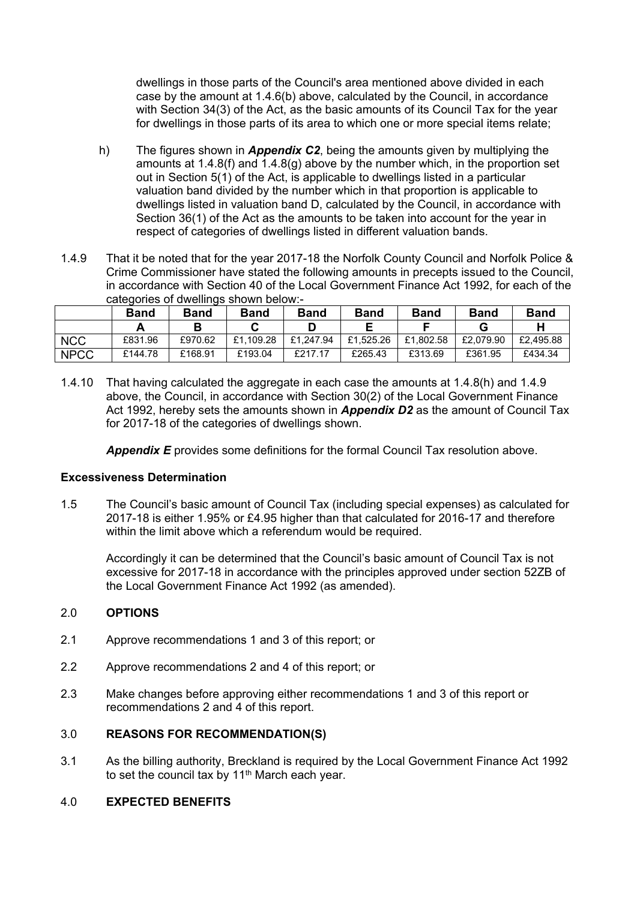dwellings in those parts of the Council's area mentioned above divided in each case by the amount at 1.4.6(b) above, calculated by the Council, in accordance with Section 34(3) of the Act, as the basic amounts of its Council Tax for the year for dwellings in those parts of its area to which one or more special items relate;

- h) The figures shown in *Appendix C2*, being the amounts given by multiplying the amounts at 1.4.8(f) and 1.4.8(g) above by the number which, in the proportion set out in Section 5(1) of the Act, is applicable to dwellings listed in a particular valuation band divided by the number which in that proportion is applicable to dwellings listed in valuation band D, calculated by the Council, in accordance with Section 36(1) of the Act as the amounts to be taken into account for the year in respect of categories of dwellings listed in different valuation bands.
- 1.4.9 That it be noted that for the year 2017-18 the Norfolk County Council and Norfolk Police & Crime Commissioner have stated the following amounts in precepts issued to the Council, in accordance with Section 40 of the Local Government Finance Act 1992, for each of the categories of dwellings shown below:-

|             | <b>Band</b> | <b>Band</b> | <b>Band</b> | <b>Band</b> | <b>Band</b> | <b>Band</b> | <b>Band</b> | <b>Band</b> |
|-------------|-------------|-------------|-------------|-------------|-------------|-------------|-------------|-------------|
|             |             |             |             |             |             |             |             |             |
| <b>NCC</b>  | £831.96     | £970.62     | £1.109.28   | £1.247.94   | £1.525.26   | £1.802.58   | £2.079.90   | £2.495.88   |
| <b>NPCC</b> | £144.78     | £168.91     | £193.04     | £217.17     | £265.43     | £313.69     | £361.95     | £434.34     |

1.4.10 That having calculated the aggregate in each case the amounts at 1.4.8(h) and 1.4.9 above, the Council, in accordance with Section 30(2) of the Local Government Finance Act 1992, hereby sets the amounts shown in *Appendix D2* as the amount of Council Tax for 2017-18 of the categories of dwellings shown.

*Appendix E* provides some definitions for the formal Council Tax resolution above.

### **Excessiveness Determination**

1.5 The Council's basic amount of Council Tax (including special expenses) as calculated for 2017-18 is either 1.95% or £4.95 higher than that calculated for 2016-17 and therefore within the limit above which a referendum would be required.

Accordingly it can be determined that the Council's basic amount of Council Tax is not excessive for 2017-18 in accordance with the principles approved under section 52ZB of the Local Government Finance Act 1992 (as amended).

### 2.0 **OPTIONS**

- 2.1 Approve recommendations 1 and 3 of this report; or
- 2.2 Approve recommendations 2 and 4 of this report; or
- 2.3 Make changes before approving either recommendations 1 and 3 of this report or recommendations 2 and 4 of this report.

#### 3.0 **REASONS FOR RECOMMENDATION(S)**

3.1 As the billing authority, Breckland is required by the Local Government Finance Act 1992 to set the council tax by 11<sup>th</sup> March each year.

#### 4.0 **EXPECTED BENEFITS**